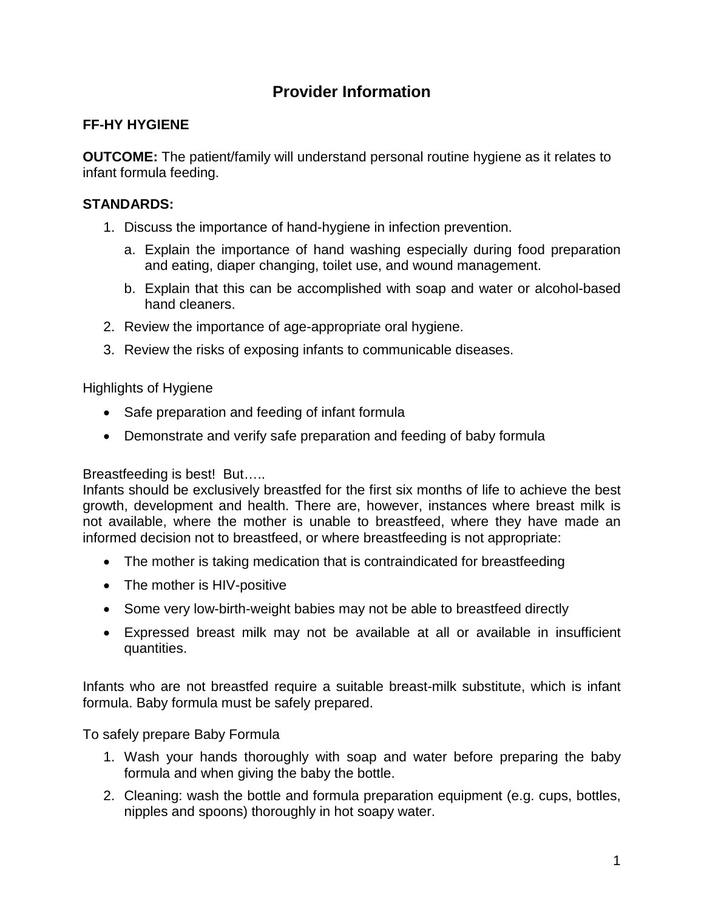## **Provider Information**

## **FF-HY HYGIENE**

**OUTCOME:** The patient/family will understand personal routine hygiene as it relates to infant formula feeding.

## **STANDARDS:**

- 1. Discuss the importance of hand-hygiene in infection prevention.
	- a. Explain the importance of hand washing especially during food preparation and eating, diaper changing, toilet use, and wound management.
	- b. Explain that this can be accomplished with soap and water or alcohol-based hand cleaners.
- 2. Review the importance of age-appropriate oral hygiene.
- 3. Review the risks of exposing infants to communicable diseases.

Highlights of Hygiene

- Safe preparation and feeding of infant formula
- Demonstrate and verify safe preparation and feeding of baby formula

Breastfeeding is best! But…..

Infants should be exclusively breastfed for the first six months of life to achieve the best growth, development and health. There are, however, instances where breast milk is not available, where the mother is unable to breastfeed, where they have made an informed decision not to breastfeed, or where breastfeeding is not appropriate:

- The mother is taking medication that is contraindicated for breastfeeding
- The mother is HIV-positive
- Some very low-birth-weight babies may not be able to breastfeed directly
- Expressed breast milk may not be available at all or available in insufficient quantities.

Infants who are not breastfed require a suitable breast-milk substitute, which is infant formula. Baby formula must be safely prepared.

To safely prepare Baby Formula

- 1. Wash your hands thoroughly with soap and water before preparing the baby formula and when giving the baby the bottle.
- 2. Cleaning: wash the bottle and formula preparation equipment (e.g. cups, bottles, nipples and spoons) thoroughly in hot soapy water.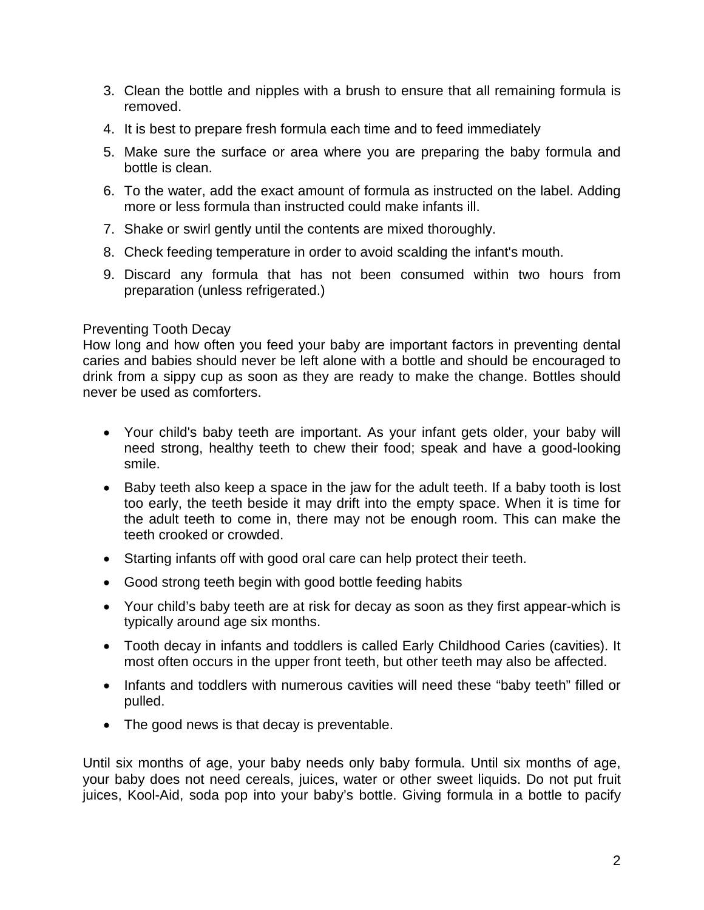- 3. Clean the bottle and nipples with a brush to ensure that all remaining formula is removed.
- 4. It is best to prepare fresh formula each time and to feed immediately
- 5. Make sure the surface or area where you are preparing the baby formula and bottle is clean.
- 6. To the water, add the exact amount of formula as instructed on the label. Adding more or less formula than instructed could make infants ill.
- 7. Shake or swirl gently until the contents are mixed thoroughly.
- 8. Check feeding temperature in order to avoid scalding the infant's mouth.
- 9. Discard any formula that has not been consumed within two hours from preparation (unless refrigerated.)

## Preventing Tooth Decay

How long and how often you feed your baby are important factors in preventing dental caries and babies should never be left alone with a bottle and should be encouraged to drink from a sippy cup as soon as they are ready to make the change. Bottles should never be used as comforters.

- Your child's baby teeth are important. As your infant gets older, your baby will need strong, healthy teeth to chew their food; speak and have a good-looking smile.
- Baby teeth also keep a space in the jaw for the adult teeth. If a baby tooth is lost too early, the teeth beside it may drift into the empty space. When it is time for the adult teeth to come in, there may not be enough room. This can make the teeth crooked or crowded.
- Starting infants off with good oral care can help protect their teeth.
- Good strong teeth begin with good bottle feeding habits
- Your child's baby teeth are at risk for decay as soon as they first appear-which is typically around age six months.
- Tooth decay in infants and toddlers is called Early Childhood Caries (cavities). It most often occurs in the upper front teeth, but other teeth may also be affected.
- Infants and toddlers with numerous cavities will need these "baby teeth" filled or pulled.
- The good news is that decay is preventable.

Until six months of age, your baby needs only baby formula. Until six months of age, your baby does not need cereals, juices, water or other sweet liquids. Do not put fruit juices, Kool-Aid, soda pop into your baby's bottle. Giving formula in a bottle to pacify